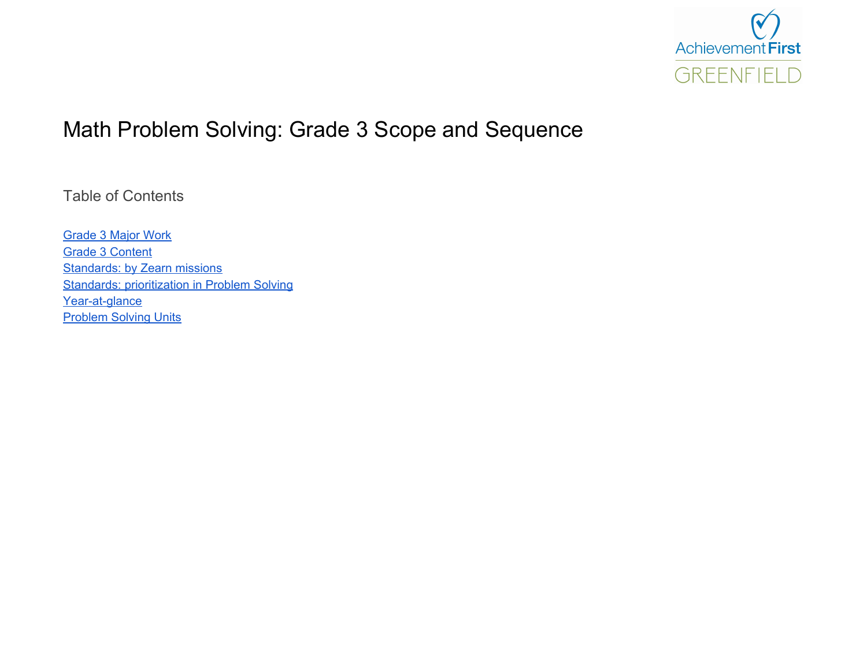

# Math Problem Solving: Grade 3 Scope and Sequence

Table of Contents

[Grade](#page-1-0) 3 Major Work Grade 3 [Content](#page-2-0) **[Standards:](#page-3-0) by Zearn missions Standards: [prioritization](#page-4-0) in Problem Solving** Year-at-glance **[Problem](#page-6-0) Solving Units**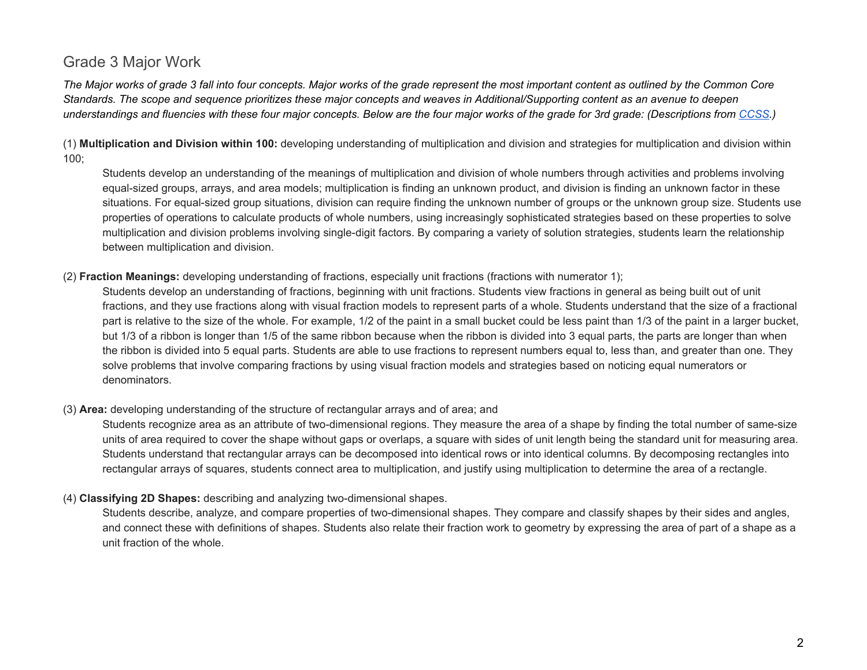### <span id="page-1-0"></span>Grade 3 Major Work

The Major works of grade 3 fall into four concepts. Major works of the grade represent the most important content as outlined by the Common Core Standards. The scope and sequence prioritizes these major concepts and weaves in Additional/Supporting content as an avenue to deepen understandings and fluencies with these four major concepts. Below are the four major works of the grade for 3rd grade: (Descriptions from [CCSS.](http://www.corestandards.org/Math/Content/3/introduction/))

(1) **Multiplication and Division within 100:** developing understanding of multiplication and division and strategies for multiplication and division within 100;

Students develop an understanding of the meanings of multiplication and division of whole numbers through activities and problems involving equal-sized groups, arrays, and area models; multiplication is finding an unknown product, and division is finding an unknown factor in these situations. For equal-sized group situations, division can require finding the unknown number of groups or the unknown group size. Students use properties of operations to calculate products of whole numbers, using increasingly sophisticated strategies based on these properties to solve multiplication and division problems involving single-digit factors. By comparing a variety of solution strategies, students learn the relationship between multiplication and division.

#### (2) **Fraction Meanings:** developing understanding of fractions, especially unit fractions (fractions with numerator 1);

Students develop an understanding of fractions, beginning with unit fractions. Students view fractions in general as being built out of unit fractions, and they use fractions along with visual fraction models to represent parts of a whole. Students understand that the size of a fractional part is relative to the size of the whole. For example, 1/2 of the paint in a small bucket could be less paint than 1/3 of the paint in a larger bucket, but 1/3 of a ribbon is longer than 1/5 of the same ribbon because when the ribbon is divided into 3 equal parts, the parts are longer than when the ribbon is divided into 5 equal parts. Students are able to use fractions to represent numbers equal to, less than, and greater than one. They solve problems that involve comparing fractions by using visual fraction models and strategies based on noticing equal numerators or denominators.

#### (3) **Area:** developing understanding of the structure of rectangular arrays and of area; and

Students recognize area as an attribute of two-dimensional regions. They measure the area of a shape by finding the total number of same-size units of area required to cover the shape without gaps or overlaps, a square with sides of unit length being the standard unit for measuring area. Students understand that rectangular arrays can be decomposed into identical rows or into identical columns. By decomposing rectangles into rectangular arrays of squares, students connect area to multiplication, and justify using multiplication to determine the area of a rectangle.

#### (4) **Classifying 2D Shapes:** describing and analyzing two-dimensional shapes.

Students describe, analyze, and compare properties of two-dimensional shapes. They compare and classify shapes by their sides and angles, and connect these with definitions of shapes. Students also relate their fraction work to geometry by expressing the area of part of a shape as a unit fraction of the whole.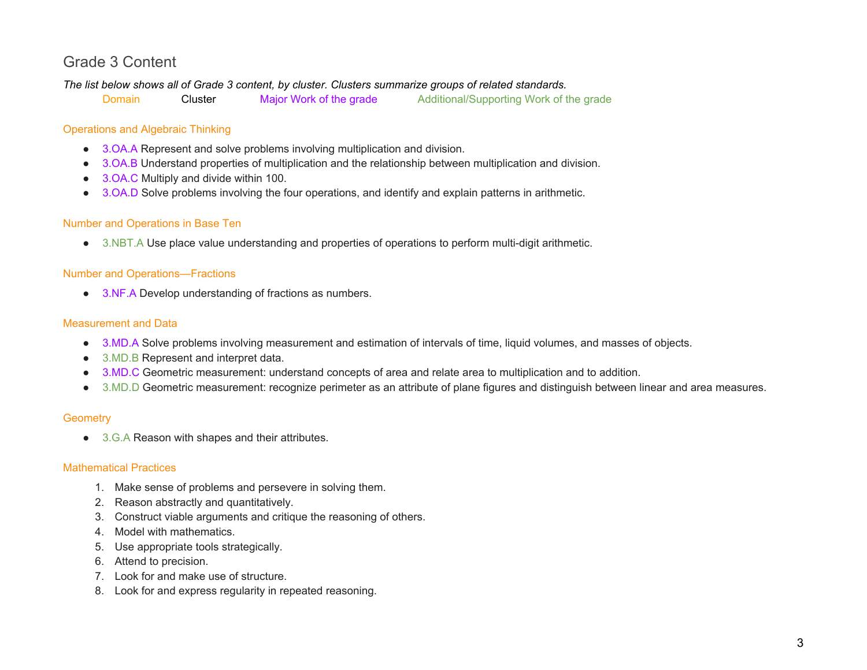## <span id="page-2-0"></span>Grade 3 Content

*The list below shows all of Grade 3 content, by cluster. Clusters summarize groups of related standards.*

Domain Cluster Major Work of the grade Additional/Supporting Work of the grade

### Operations and Algebraic Thinking

- 3.OA.A Represent and solve problems involving multiplication and division.
- 3.OA.B Understand properties of multiplication and the relationship between multiplication and division.
- 3.OA.C Multiply and divide within 100.
- 3.OA.D Solve problems involving the four operations, and identify and explain patterns in arithmetic.

#### Number and Operations in Base Ten

● 3.NBT.A Use place value understanding and properties of operations to perform multi-digit arithmetic.

#### Number and Operations—Fractions

● 3.NF.A Develop understanding of fractions as numbers.

#### Measurement and Data

- 3.MD.A Solve problems involving measurement and estimation of intervals of time, liquid volumes, and masses of objects.
- 3.MD.B Represent and interpret data.
- 3.MD.C Geometric measurement: understand concepts of area and relate area to multiplication and to addition.
- 3.MD.D Geometric measurement: recognize perimeter as an attribute of plane figures and distinguish between linear and area measures.

#### **Geometry**

● 3.G.A Reason with shapes and their attributes.

#### Mathematical Practices

- 1. Make sense of problems and persevere in solving them.
- 2. Reason abstractly and quantitatively.
- 3. Construct viable arguments and critique the reasoning of others.
- 4. Model with mathematics.
- 5. Use appropriate tools strategically.
- 6. Attend to precision.
- 7. Look for and make use of structure.
- 8. Look for and express regularity in repeated reasoning.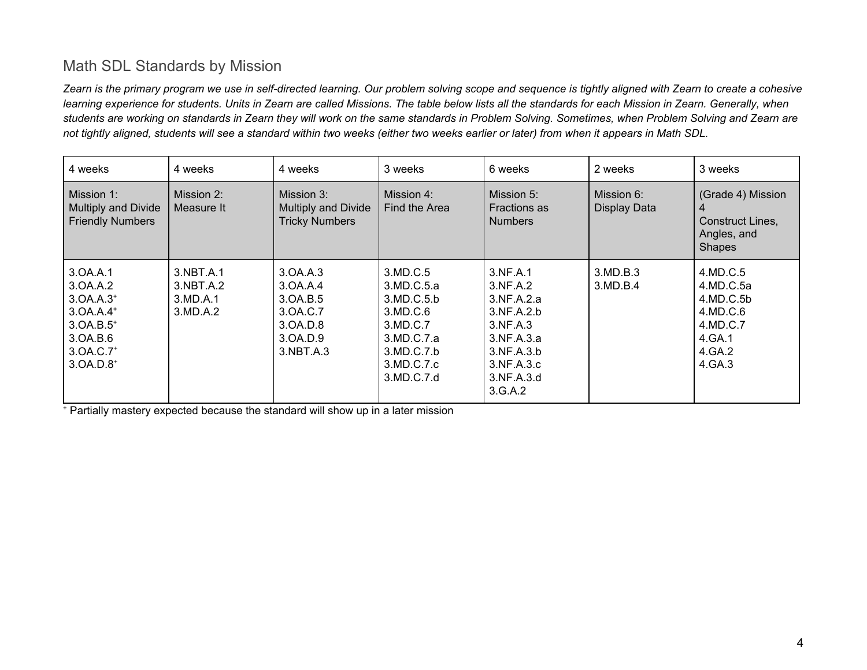# <span id="page-3-0"></span>Math SDL Standards by Mission

Zearn is the primary program we use in self-directed learning. Our problem solving scope and sequence is tightly aligned with Zearn to create a cohesive learning experience for students. Units in Zearn are called Missions. The table below lists all the standards for each Mission in Zearn. Generally, when students are working on standards in Zearn they will work on the same standards in Problem Solving. Sometimes, when Problem Solving and Zearn are not tightly aligned, students will see a standard within two weeks (either two weeks earlier or later) from when it appears in Math SDL.

| 4 weeks                                                                                                                  | 4 weeks                                        | 4 weeks                                                                           | 3 weeks                                                                                                              | 6 weeks                                                                                                                         | 2 weeks                    | 3 weeks                                                                                  |
|--------------------------------------------------------------------------------------------------------------------------|------------------------------------------------|-----------------------------------------------------------------------------------|----------------------------------------------------------------------------------------------------------------------|---------------------------------------------------------------------------------------------------------------------------------|----------------------------|------------------------------------------------------------------------------------------|
| Mission 1:<br>Multiply and Divide<br><b>Friendly Numbers</b>                                                             | Mission 2:<br>Measure It                       | Mission 3:<br>Multiply and Divide<br><b>Tricky Numbers</b>                        | Mission 4:<br>Find the Area                                                                                          | Mission 5:<br><b>Fractions as</b><br><b>Numbers</b>                                                                             | Mission 6:<br>Display Data | (Grade 4) Mission<br>Construct Lines,<br>Angles, and<br>Shapes                           |
| 3.0A.A.1<br>3.0A.A.2<br>$3.0A.A.3+$<br>$3.0A.A.4+$<br>$3.0A.B.5^{+}$<br>3.0A.B.6<br>3.0A.C.7 <sup>+</sup><br>$3.0A.D.8+$ | 3.NBT.A.1<br>3.NBT.A.2<br>3.MD.A.1<br>3.MD.A.2 | 3.0A.A.3<br>3.0A.A.4<br>3.0A.B.5<br>3.0A.C.7<br>3.0A.D.8<br>3.0A.D.9<br>3.NBT.A.3 | 3.MD.C.5<br>3.MD.C.5.a<br>3.MD.C.5.b<br>3.MD.C.6<br>3.MD.C.7<br>3.MD.C.7.a<br>3.MD.C.7.b<br>3.MD.C.7.c<br>3.MD.C.7.d | 3.NF.A.1<br>3.NF.A.2<br>3.NF.A.2.a<br>3.NF.A.2.b<br>3.NF.A.3<br>3.NF.A.3.a<br>3.NF.A.3.b<br>3.NF.A.3.c<br>3.NF.A.3.d<br>3.G.A.2 | 3.MD.B.3<br>3.MD.B.4       | 4.MD.C.5<br>4.MD.C.5a<br>4.MD.C.5b<br>4.MD.C.6<br>4.MD.C.7<br>4.GA.1<br>4.GA.2<br>4.GA.3 |

<sup>+</sup> Partially mastery expected because the standard will show up in a later mission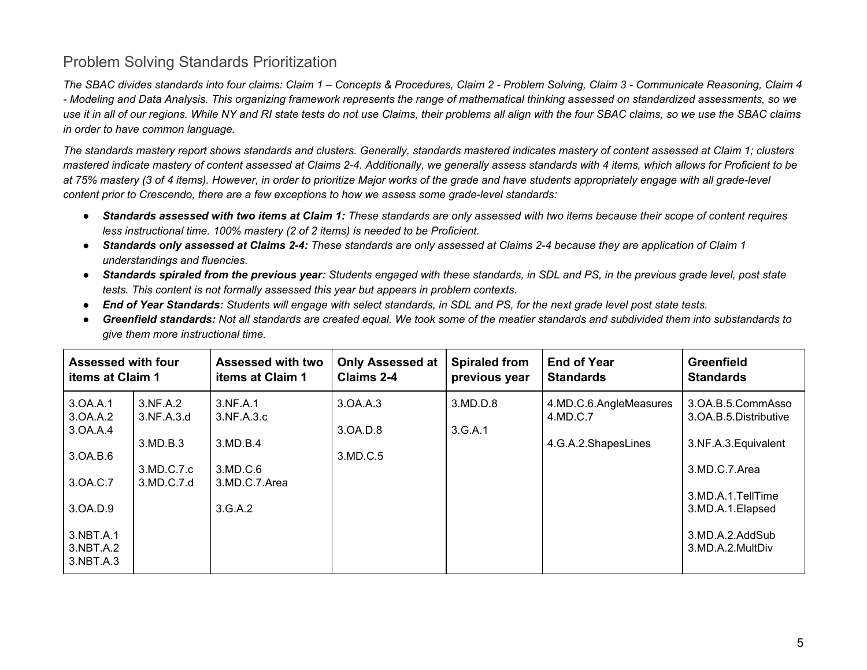## <span id="page-4-0"></span>Problem Solving Standards Prioritization

The SBAC divides standards into four claims: Claim 1 – Concepts & Procedures, Claim 2 - Problem Solving, Claim 3 - Communicate Reasoning, Claim 4 - Modeling and Data Analysis. This organizing framework represents the range of mathematical thinking assessed on standardized assessments, so we use it in all of our regions. While NY and RI state tests do not use Claims, their problems all align with the four SBAC claims, so we use the SBAC claims *in order to have common language.*

The standards mastery report shows standards and clusters. Generally, standards mastered indicates mastery of content assessed at Claim 1; clusters mastered indicate mastery of content assessed at Claims 2-4. Additionally, we generally assess standards with 4 items, which allows for Proficient to be at 75% mastery (3 of 4 items). However, in order to prioritize Major works of the grade and have students appropriately engage with all grade-level *content prior to Crescendo, there are a few exceptions to how we assess some grade-level standards:*

- Standards assessed with two items at Claim 1: These standards are only assessed with two items because their scope of content requires *less instructional time. 100% mastery (2 of 2 items) is needed to be Proficient.*
- Standards only assessed at Claims 2-4: These standards are only assessed at Claims 2-4 because they are application of Claim 1 *understandings and fluencies.*
- Standards spiraled from the previous year: Students engaged with these standards, in SDL and PS, in the previous grade level, post state *tests. This content is not formally assessed this year but appears in problem contexts.*
- End of Year Standards: Students will engage with select standards, in SDL and PS, for the next grade level post state tests.
- Greenfield standards: Not all standards are created equal. We took some of the meatier standards and subdivided them into substandards to *give them more instructional time.*

| <b>Assessed with four</b>                                                                                                                                                     | <b>Assessed with two</b>                                                   | <b>Only Assessed at</b>          | <b>Spiraled from</b> | <b>End of Year</b>                                        | <b>Greenfield</b>                                                                                                                                                   |
|-------------------------------------------------------------------------------------------------------------------------------------------------------------------------------|----------------------------------------------------------------------------|----------------------------------|----------------------|-----------------------------------------------------------|---------------------------------------------------------------------------------------------------------------------------------------------------------------------|
| <b>items at Claim 1</b>                                                                                                                                                       | <b>items at Claim 1</b>                                                    | Claims 2-4                       | previous year        | <b>Standards</b>                                          | <b>Standards</b>                                                                                                                                                    |
| 3.0A.A.1<br>3.NF.A.2<br>3.0A.A.2<br>3.NF.A.3.d<br>3.0A.A.4<br>3.MD.B.3<br>3.0A.B.6<br>3.MD.C.7.c<br>3.0A.C.7<br>3.MD.C.7.d<br>3.0A.D.9<br>3.NBT.A.1<br>3.NBT.A.2<br>3.NBT.A.3 | 3.NF.A.1<br>3.NF.A.3.c<br>3.MD.B.4<br>3.MD.C.6<br>3.MD.C.7.Area<br>3.G.A.2 | 3.0A.A.3<br>3.0A.D.8<br>3.MD.C.5 | 3.MD.D.8<br>3.G.A.1  | 4.MD.C.6.AngleMeasures<br>4.MD.C.7<br>4.G.A.2.ShapesLines | 3.OA.B.5.CommAsso<br>3.OA.B.5.Distributive<br>3.NF.A.3. Equivalent<br>3.MD.C.7.Area<br>3.MD.A.1.TellTime<br>3.MD.A.1.Elapsed<br>3.MD.A.2.AddSub<br>3.MD.A.2.MultDiv |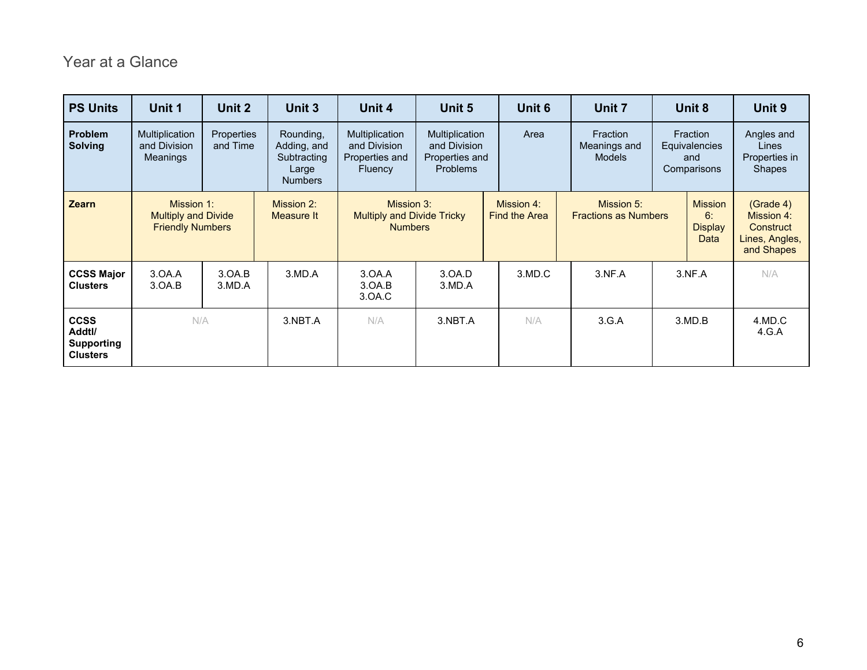# Year at a Glance

| <b>PS Units</b>                                               | Unit 1                                                              | Unit 2                        | Unit 3                                                             | Unit 4                                                             | Unit 5                                                              | Unit 6                             | Unit 7                                    | Unit 8                                          | Unit 9                                                               |
|---------------------------------------------------------------|---------------------------------------------------------------------|-------------------------------|--------------------------------------------------------------------|--------------------------------------------------------------------|---------------------------------------------------------------------|------------------------------------|-------------------------------------------|-------------------------------------------------|----------------------------------------------------------------------|
| <b>Problem</b><br><b>Solving</b>                              | Multiplication<br>and Division<br><b>Meanings</b>                   | <b>Properties</b><br>and Time | Rounding,<br>Adding, and<br>Subtracting<br>Large<br><b>Numbers</b> | Multiplication<br>and Division<br>Properties and<br><b>Fluency</b> | Multiplication<br>and Division<br>Properties and<br><b>Problems</b> | Area                               | Fraction<br>Meanings and<br><b>Models</b> | Fraction<br>Equivalencies<br>and<br>Comparisons | Angles and<br>Lines<br>Properties in<br><b>Shapes</b>                |
| <b>Zearn</b>                                                  | Mission 1:<br><b>Multiply and Divide</b><br><b>Friendly Numbers</b> |                               | Mission 2:<br>Measure It                                           | Mission 3:<br><b>Multiply and Divide Tricky</b><br><b>Numbers</b>  |                                                                     | Mission 4:<br><b>Find the Area</b> | Mission 5:<br><b>Fractions as Numbers</b> | <b>Mission</b><br>6:<br><b>Display</b><br>Data  | (Grade 4)<br>Mission 4:<br>Construct<br>Lines, Angles,<br>and Shapes |
| <b>CCSS Major</b><br><b>Clusters</b>                          | 3.0A.A<br>3.0A.B                                                    | 3.0A.B<br>3.MD.A              | 3.MD.A                                                             | 3.0A.A<br>3.0A.B<br>3.0A.C                                         | 3.0A.D<br>3.MD.A                                                    | 3.MD.C                             | 3.NF.A                                    | 3.NF.A                                          | N/A                                                                  |
| <b>CCSS</b><br>Addtl/<br><b>Supporting</b><br><b>Clusters</b> | N/A                                                                 |                               | 3.NBT.A                                                            | N/A                                                                | 3.NBT.A                                                             | N/A                                | 3.G.A                                     | 3.MD.B                                          | 4.MD.C<br>4.G.A                                                      |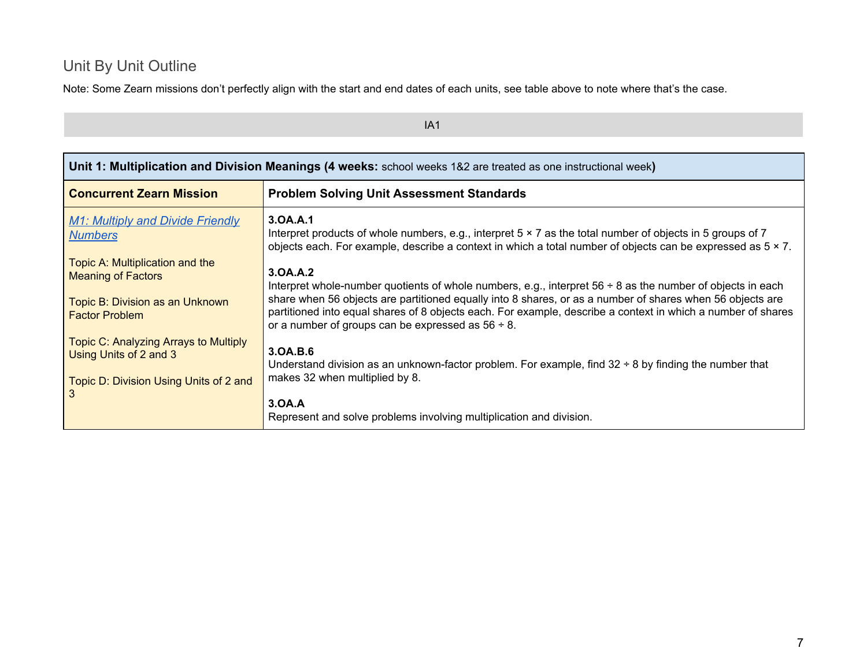# <span id="page-6-0"></span>Unit By Unit Outline

Note: Some Zearn missions don't perfectly align with the start and end dates of each units, see table above to note where that's the case.

| Unit 1: Multiplication and Division Meanings (4 weeks: school weeks 1&2 are treated as one instructional week)           |                                                                                                                                                                                                                                                                                                                                                                                                                     |  |  |
|--------------------------------------------------------------------------------------------------------------------------|---------------------------------------------------------------------------------------------------------------------------------------------------------------------------------------------------------------------------------------------------------------------------------------------------------------------------------------------------------------------------------------------------------------------|--|--|
| <b>Concurrent Zearn Mission</b>                                                                                          | <b>Problem Solving Unit Assessment Standards</b>                                                                                                                                                                                                                                                                                                                                                                    |  |  |
| <b>M1: Multiply and Divide Friendly</b><br><b>Numbers</b>                                                                | 3.0A.A.1<br>Interpret products of whole numbers, e.g., interpret $5 \times 7$ as the total number of objects in 5 groups of 7<br>objects each. For example, describe a context in which a total number of objects can be expressed as $5 \times 7$ .                                                                                                                                                                |  |  |
| Topic A: Multiplication and the<br><b>Meaning of Factors</b><br>Topic B: Division as an Unknown<br><b>Factor Problem</b> | 3.0A.A.2<br>Interpret whole-number quotients of whole numbers, e.g., interpret $56 \div 8$ as the number of objects in each<br>share when 56 objects are partitioned equally into 8 shares, or as a number of shares when 56 objects are<br>partitioned into equal shares of 8 objects each. For example, describe a context in which a number of shares<br>or a number of groups can be expressed as $56 \div 8$ . |  |  |
| Topic C: Analyzing Arrays to Multiply<br>Using Units of 2 and 3<br>Topic D: Division Using Units of 2 and<br>3           | 3.0A.B.6<br>Understand division as an unknown-factor problem. For example, find $32 \div 8$ by finding the number that<br>makes 32 when multiplied by 8.<br>3.0A.A<br>Represent and solve problems involving multiplication and division.                                                                                                                                                                           |  |  |

IA1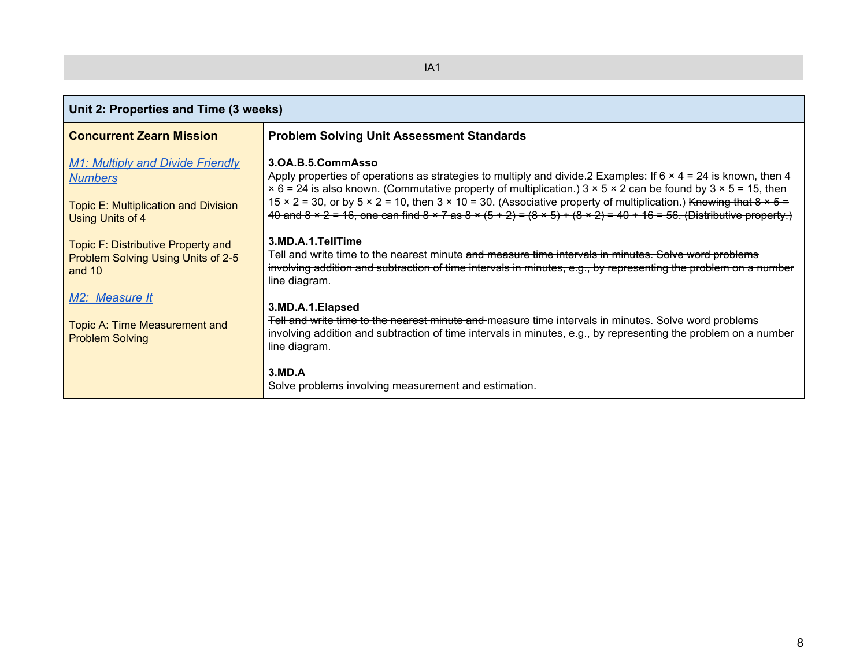| Unit 2: Properties and Time (3 weeks)                                                                                 |                                                                                                                                                                                                                                                                                                                                                                                                                                                                                                                                                     |  |  |
|-----------------------------------------------------------------------------------------------------------------------|-----------------------------------------------------------------------------------------------------------------------------------------------------------------------------------------------------------------------------------------------------------------------------------------------------------------------------------------------------------------------------------------------------------------------------------------------------------------------------------------------------------------------------------------------------|--|--|
| <b>Concurrent Zearn Mission</b>                                                                                       | <b>Problem Solving Unit Assessment Standards</b>                                                                                                                                                                                                                                                                                                                                                                                                                                                                                                    |  |  |
| <b>M1: Multiply and Divide Friendly</b><br><b>Numbers</b><br>Topic E: Multiplication and Division<br>Using Units of 4 | 3.0A.B.5.CommAsso<br>Apply properties of operations as strategies to multiply and divide. 2 Examples: If $6 \times 4 = 24$ is known, then 4<br>$\times$ 6 = 24 is also known. (Commutative property of multiplication.) 3 $\times$ 5 $\times$ 2 can be found by 3 $\times$ 5 = 15, then<br>15 × 2 = 30, or by 5 × 2 = 10, then 3 × 10 = 30. (Associative property of multiplication.) Knowing that $8 \times 5 =$<br>40 and 8 x 2 = 16, one can find 8 x 7 as 8 x (5 + 2) = $(8 \times 5) + (8 \times 2) = 40 + 16 = 56$ . (Distributive property.) |  |  |
| Topic F: Distributive Property and<br>Problem Solving Using Units of 2-5<br>and $1010$                                | 3.MD.A.1.TellTime<br>Tell and write time to the nearest minute and measure time intervals in minutes. Solve word problems<br>involving addition and subtraction of time intervals in minutes, e.g., by representing the problem on a number<br>line diagram.                                                                                                                                                                                                                                                                                        |  |  |
| M <sub>2</sub> : Measure It<br>Topic A: Time Measurement and<br><b>Problem Solving</b>                                | 3.MD.A.1.Elapsed<br>Tell and write time to the nearest minute and measure time intervals in minutes. Solve word problems<br>involving addition and subtraction of time intervals in minutes, e.g., by representing the problem on a number<br>line diagram.                                                                                                                                                                                                                                                                                         |  |  |
|                                                                                                                       | 3.MD.A<br>Solve problems involving measurement and estimation.                                                                                                                                                                                                                                                                                                                                                                                                                                                                                      |  |  |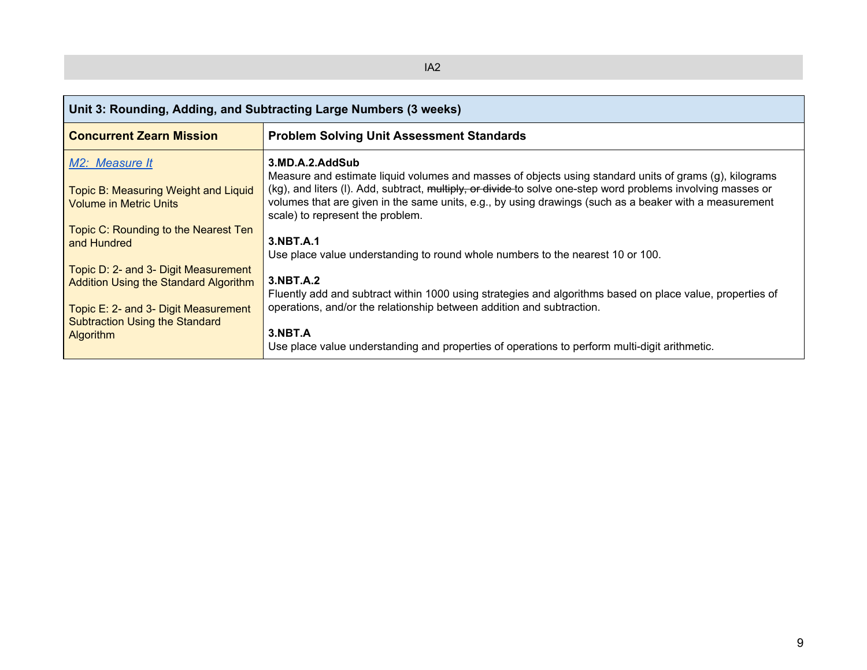| Unit 3: Rounding, Adding, and Subtracting Large Numbers (3 weeks)                       |                                                                                                                                                                                                                                                                                                                                                                                         |  |  |
|-----------------------------------------------------------------------------------------|-----------------------------------------------------------------------------------------------------------------------------------------------------------------------------------------------------------------------------------------------------------------------------------------------------------------------------------------------------------------------------------------|--|--|
| <b>Concurrent Zearn Mission</b>                                                         | <b>Problem Solving Unit Assessment Standards</b>                                                                                                                                                                                                                                                                                                                                        |  |  |
| M2: Measure It<br>Topic B: Measuring Weight and Liquid<br><b>Volume in Metric Units</b> | 3.MD.A.2.AddSub<br>Measure and estimate liquid volumes and masses of objects using standard units of grams (g), kilograms<br>(kg), and liters (I). Add, subtract, multiply, or divide to solve one-step word problems involving masses or<br>volumes that are given in the same units, e.g., by using drawings (such as a beaker with a measurement<br>scale) to represent the problem. |  |  |
| Topic C: Rounding to the Nearest Ten                                                    | 3.NBT.A.1                                                                                                                                                                                                                                                                                                                                                                               |  |  |
| and Hundred                                                                             | Use place value understanding to round whole numbers to the nearest 10 or 100.                                                                                                                                                                                                                                                                                                          |  |  |
| Topic D: 2- and 3- Digit Measurement                                                    | 3.NBT.A.2                                                                                                                                                                                                                                                                                                                                                                               |  |  |
| <b>Addition Using the Standard Algorithm</b>                                            | Fluently add and subtract within 1000 using strategies and algorithms based on place value, properties of                                                                                                                                                                                                                                                                               |  |  |
| Topic E: 2- and 3- Digit Measurement                                                    | operations, and/or the relationship between addition and subtraction.                                                                                                                                                                                                                                                                                                                   |  |  |
| <b>Subtraction Using the Standard</b>                                                   | 3.NBT.A                                                                                                                                                                                                                                                                                                                                                                                 |  |  |
| <b>Algorithm</b>                                                                        | Use place value understanding and properties of operations to perform multi-digit arithmetic.                                                                                                                                                                                                                                                                                           |  |  |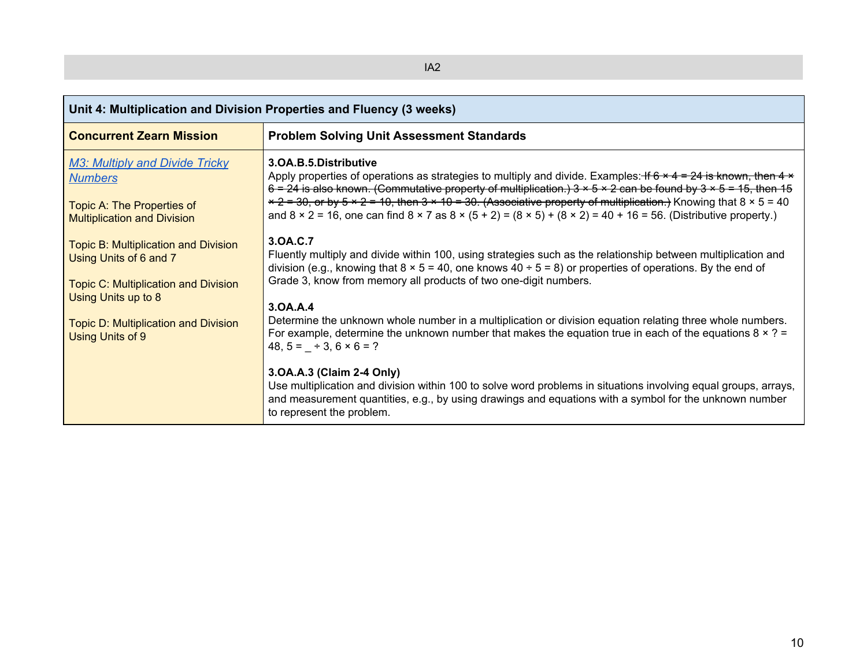| Unit 4: Multiplication and Division Properties and Fluency (3 weeks)                                                        |                                                                                                                                                                                                                                                                                                                                                                                                                                                                                                                                                                        |  |  |
|-----------------------------------------------------------------------------------------------------------------------------|------------------------------------------------------------------------------------------------------------------------------------------------------------------------------------------------------------------------------------------------------------------------------------------------------------------------------------------------------------------------------------------------------------------------------------------------------------------------------------------------------------------------------------------------------------------------|--|--|
| <b>Concurrent Zearn Mission</b>                                                                                             | <b>Problem Solving Unit Assessment Standards</b>                                                                                                                                                                                                                                                                                                                                                                                                                                                                                                                       |  |  |
| <b>M3: Multiply and Divide Tricky</b><br><b>Numbers</b><br>Topic A: The Properties of<br><b>Multiplication and Division</b> | 3.OA.B.5.Distributive<br>Apply properties of operations as strategies to multiply and divide. Examples: If $6 \times 4 = 24$ is known, then $4 \times$<br>6 = 24 is also known. (Commutative property of multiplication.) $3 \times 5 \times 2$ can be found by $3 \times 5 = 15$ , then 15<br>$x + 2 = 30$ , or by 5 x 2 = 10, then 3 x 10 = 30. (Associative property of multiplication.) Knowing that 8 x 5 = 40<br>and $8 \times 2 = 16$ , one can find $8 \times 7$ as $8 \times (5 + 2) = (8 \times 5) + (8 \times 2) = 40 + 16 = 56$ . (Distributive property.) |  |  |
| <b>Topic B: Multiplication and Division</b><br>Using Units of 6 and 7<br><b>Topic C: Multiplication and Division</b>        | 3.0A.C.7<br>Fluently multiply and divide within 100, using strategies such as the relationship between multiplication and<br>division (e.g., knowing that $8 \times 5 = 40$ , one knows $40 \div 5 = 8$ ) or properties of operations. By the end of<br>Grade 3, know from memory all products of two one-digit numbers.                                                                                                                                                                                                                                               |  |  |
| Using Units up to 8<br><b>Topic D: Multiplication and Division</b><br>Using Units of 9                                      | 3.0A.A.4<br>Determine the unknown whole number in a multiplication or division equation relating three whole numbers.<br>For example, determine the unknown number that makes the equation true in each of the equations $8 \times ? =$<br>$48, 5 = +3, 6 \times 6 = ?$                                                                                                                                                                                                                                                                                                |  |  |
|                                                                                                                             | 3.0A.A.3 (Claim 2-4 Only)<br>Use multiplication and division within 100 to solve word problems in situations involving equal groups, arrays,<br>and measurement quantities, e.g., by using drawings and equations with a symbol for the unknown number<br>to represent the problem.                                                                                                                                                                                                                                                                                    |  |  |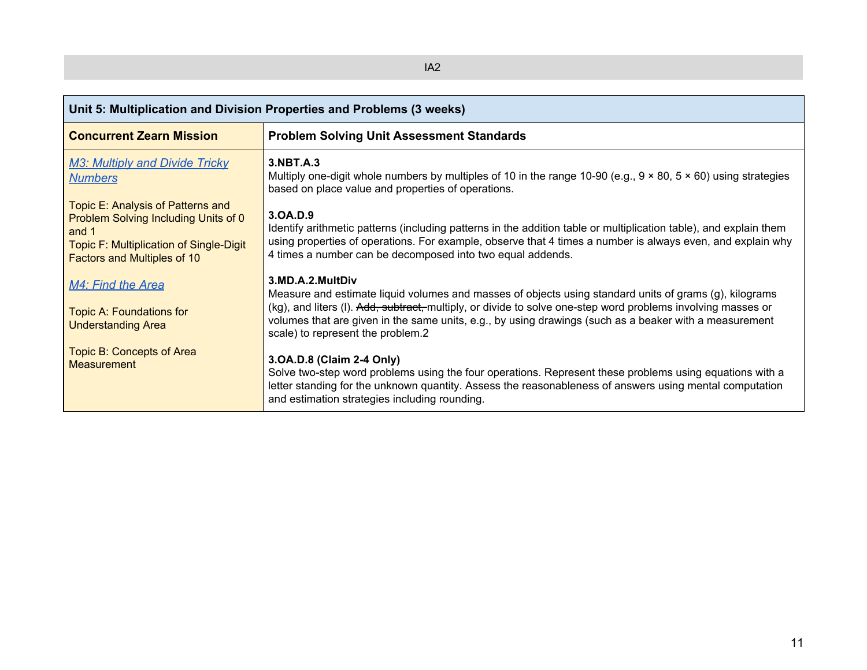| Unit 5: Multiplication and Division Properties and Problems (3 weeks)                                                                                               |                                                                                                                                                                                                                                                                                                                                                                                           |  |  |
|---------------------------------------------------------------------------------------------------------------------------------------------------------------------|-------------------------------------------------------------------------------------------------------------------------------------------------------------------------------------------------------------------------------------------------------------------------------------------------------------------------------------------------------------------------------------------|--|--|
| <b>Concurrent Zearn Mission</b>                                                                                                                                     | <b>Problem Solving Unit Assessment Standards</b>                                                                                                                                                                                                                                                                                                                                          |  |  |
| <b>M3: Multiply and Divide Tricky</b><br><b>Numbers</b>                                                                                                             | 3.NBT.A.3<br>Multiply one-digit whole numbers by multiples of 10 in the range 10-90 (e.g., $9 \times 80$ , $5 \times 60$ ) using strategies<br>based on place value and properties of operations.                                                                                                                                                                                         |  |  |
| Topic E: Analysis of Patterns and<br>Problem Solving Including Units of 0<br>and 1<br>Topic F: Multiplication of Single-Digit<br><b>Factors and Multiples of 10</b> | 3.0A.D.9<br>Identify arithmetic patterns (including patterns in the addition table or multiplication table), and explain them<br>using properties of operations. For example, observe that 4 times a number is always even, and explain why<br>4 times a number can be decomposed into two equal addends.                                                                                 |  |  |
| M4: Find the Area<br><b>Topic A: Foundations for</b><br><b>Understanding Area</b>                                                                                   | 3.MD.A.2.MultDiv<br>Measure and estimate liquid volumes and masses of objects using standard units of grams (g), kilograms<br>(kg), and liters (I). Add, subtract, multiply, or divide to solve one-step word problems involving masses or<br>volumes that are given in the same units, e.g., by using drawings (such as a beaker with a measurement<br>scale) to represent the problem.2 |  |  |
| <b>Topic B: Concepts of Area</b><br><b>Measurement</b>                                                                                                              | 3.0A.D.8 (Claim 2-4 Only)<br>Solve two-step word problems using the four operations. Represent these problems using equations with a<br>letter standing for the unknown quantity. Assess the reasonableness of answers using mental computation<br>and estimation strategies including rounding.                                                                                          |  |  |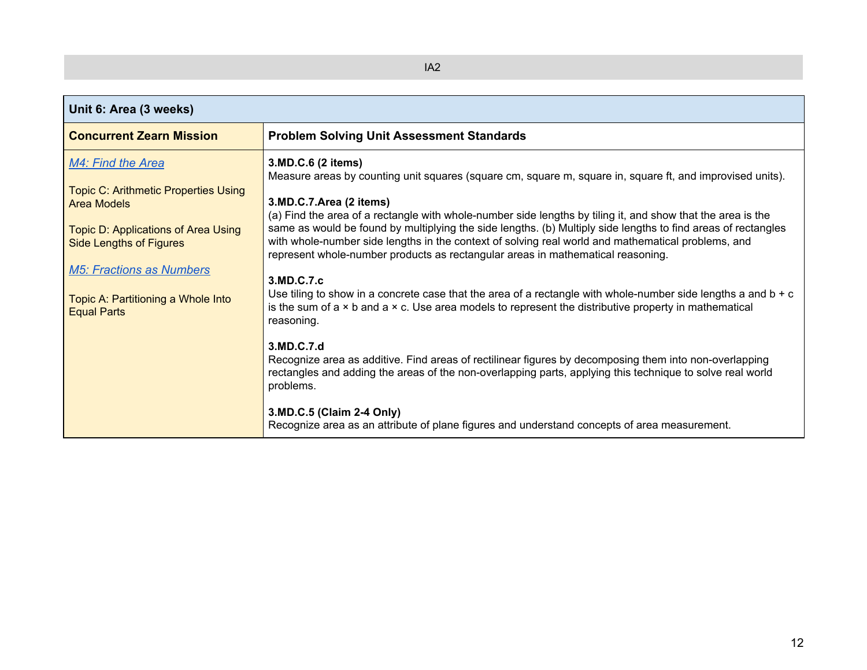| Unit 6: Area (3 weeks)                                                                                   |                                                                                                                                                                                                                                                                                                                      |
|----------------------------------------------------------------------------------------------------------|----------------------------------------------------------------------------------------------------------------------------------------------------------------------------------------------------------------------------------------------------------------------------------------------------------------------|
| <b>Concurrent Zearn Mission</b>                                                                          | <b>Problem Solving Unit Assessment Standards</b>                                                                                                                                                                                                                                                                     |
| M4: Find the Area<br><b>Topic C: Arithmetic Properties Using</b><br>Area Models                          | 3.MD.C.6 (2 items)<br>Measure areas by counting unit squares (square cm, square m, square in, square ft, and improvised units).<br>3.MD.C.7.Area (2 items)<br>(a) Find the area of a rectangle with whole-number side lengths by tiling it, and show that the area is the                                            |
| <b>Topic D: Applications of Area Using</b><br>Side Lengths of Figures<br><b>M5: Fractions as Numbers</b> | same as would be found by multiplying the side lengths. (b) Multiply side lengths to find areas of rectangles<br>with whole-number side lengths in the context of solving real world and mathematical problems, and<br>represent whole-number products as rectangular areas in mathematical reasoning.<br>3.MD.C.7.c |
| Topic A: Partitioning a Whole Into<br><b>Equal Parts</b>                                                 | Use tiling to show in a concrete case that the area of a rectangle with whole-number side lengths a and $b + c$<br>is the sum of $a \times b$ and $a \times c$ . Use area models to represent the distributive property in mathematical<br>reasoning.                                                                |
|                                                                                                          | 3.MD.C.7.d<br>Recognize area as additive. Find areas of rectilinear figures by decomposing them into non-overlapping<br>rectangles and adding the areas of the non-overlapping parts, applying this technique to solve real world<br>problems.                                                                       |
|                                                                                                          | 3.MD.C.5 (Claim 2-4 Only)<br>Recognize area as an attribute of plane figures and understand concepts of area measurement.                                                                                                                                                                                            |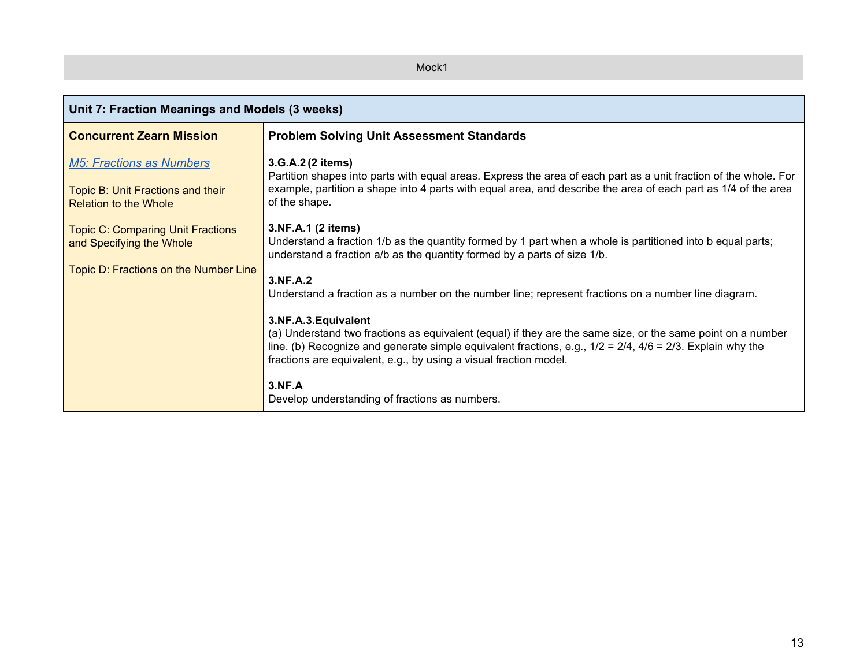### Mock1

| Unit 7: Fraction Meanings and Models (3 weeks)                                                                |                                                                                                                                                                                                                                                                                                                                                                                                                                                                                                                                                                                                                                                                                                                                   |  |  |
|---------------------------------------------------------------------------------------------------------------|-----------------------------------------------------------------------------------------------------------------------------------------------------------------------------------------------------------------------------------------------------------------------------------------------------------------------------------------------------------------------------------------------------------------------------------------------------------------------------------------------------------------------------------------------------------------------------------------------------------------------------------------------------------------------------------------------------------------------------------|--|--|
| <b>Concurrent Zearn Mission</b>                                                                               | <b>Problem Solving Unit Assessment Standards</b>                                                                                                                                                                                                                                                                                                                                                                                                                                                                                                                                                                                                                                                                                  |  |  |
| <b>M5: Fractions as Numbers</b><br>Topic B: Unit Fractions and their<br><b>Relation to the Whole</b>          | 3.G.A.2 (2 items)<br>Partition shapes into parts with equal areas. Express the area of each part as a unit fraction of the whole. For<br>example, partition a shape into 4 parts with equal area, and describe the area of each part as 1/4 of the area<br>of the shape.                                                                                                                                                                                                                                                                                                                                                                                                                                                          |  |  |
| <b>Topic C: Comparing Unit Fractions</b><br>and Specifying the Whole<br>Topic D: Fractions on the Number Line | 3.NF.A.1 (2 items)<br>Understand a fraction 1/b as the quantity formed by 1 part when a whole is partitioned into b equal parts;<br>understand a fraction a/b as the quantity formed by a parts of size 1/b.<br>3.NF.A.2<br>Understand a fraction as a number on the number line; represent fractions on a number line diagram.<br>3.NF.A.3. Equivalent<br>(a) Understand two fractions as equivalent (equal) if they are the same size, or the same point on a number<br>line. (b) Recognize and generate simple equivalent fractions, e.g., $1/2 = 2/4$ , $4/6 = 2/3$ . Explain why the<br>fractions are equivalent, e.g., by using a visual fraction model.<br><b>3.NF.A</b><br>Develop understanding of fractions as numbers. |  |  |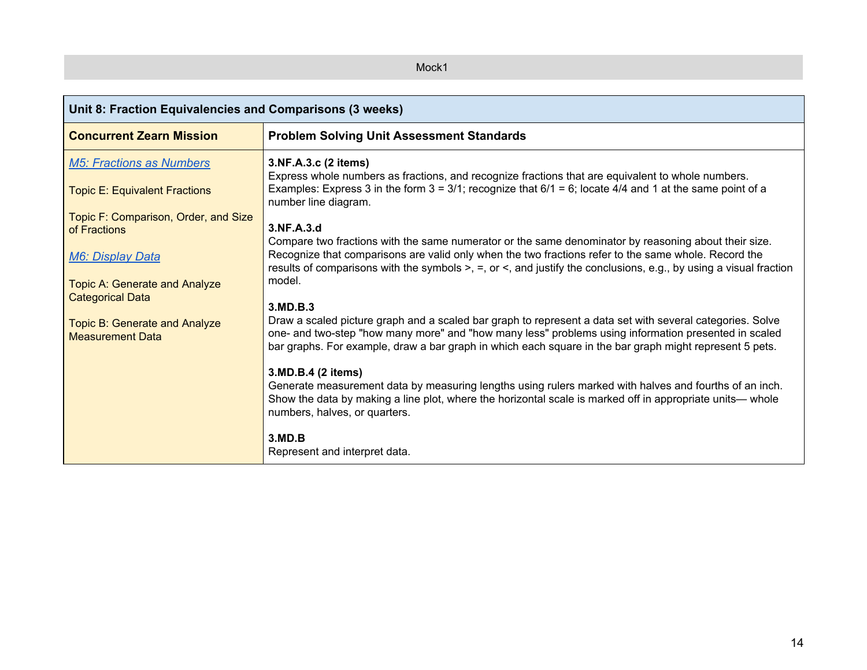### Mock1

| Unit 8: Fraction Equivalencies and Comparisons (3 weeks)                                                                |                                                                                                                                                                                                                                                                                                                                                                      |  |  |
|-------------------------------------------------------------------------------------------------------------------------|----------------------------------------------------------------------------------------------------------------------------------------------------------------------------------------------------------------------------------------------------------------------------------------------------------------------------------------------------------------------|--|--|
| <b>Concurrent Zearn Mission</b>                                                                                         | <b>Problem Solving Unit Assessment Standards</b>                                                                                                                                                                                                                                                                                                                     |  |  |
| <b>M5: Fractions as Numbers</b><br><b>Topic E: Equivalent Fractions</b>                                                 | 3.NF.A.3.c (2 items)<br>Express whole numbers as fractions, and recognize fractions that are equivalent to whole numbers.<br>Examples: Express 3 in the form $3 = 3/1$ ; recognize that $6/1 = 6$ ; locate $4/4$ and 1 at the same point of a<br>number line diagram.                                                                                                |  |  |
| Topic F: Comparison, Order, and Size<br>of Fractions<br><b>M6: Display Data</b><br><b>Topic A: Generate and Analyze</b> | 3.NF.A.3.d<br>Compare two fractions with the same numerator or the same denominator by reasoning about their size.<br>Recognize that comparisons are valid only when the two fractions refer to the same whole. Record the<br>results of comparisons with the symbols $>$ , $=$ , or $\le$ , and justify the conclusions, e.g., by using a visual fraction<br>model. |  |  |
| <b>Categorical Data</b><br>Topic B: Generate and Analyze<br><b>Measurement Data</b>                                     | 3.MD.B.3<br>Draw a scaled picture graph and a scaled bar graph to represent a data set with several categories. Solve<br>one- and two-step "how many more" and "how many less" problems using information presented in scaled<br>bar graphs. For example, draw a bar graph in which each square in the bar graph might represent 5 pets.                             |  |  |
|                                                                                                                         | 3.MD.B.4 (2 items)<br>Generate measurement data by measuring lengths using rulers marked with halves and fourths of an inch.<br>Show the data by making a line plot, where the horizontal scale is marked off in appropriate units— whole<br>numbers, halves, or quarters.<br>3.MD.B<br>Represent and interpret data.                                                |  |  |